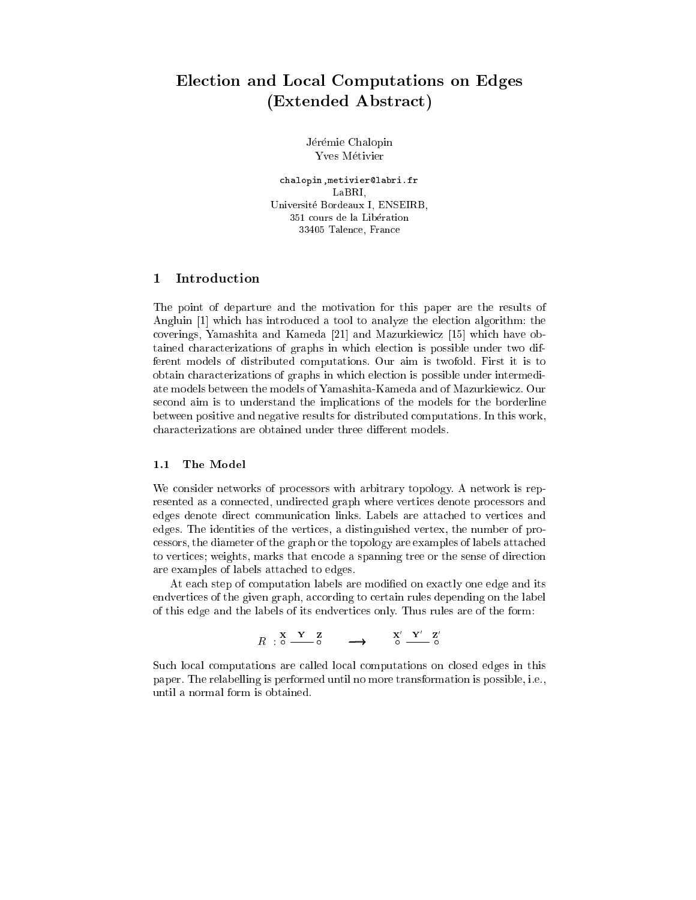# Ele
tion and Lo
al Computations on Edges (Extended Abstract)

Jérémie Chalopin Yves Métivier

chalopin, metivier@labri.fr Universite Bordeaux I, ENSEIRB, 351 ours de la Liberation 33405 Talen
e, Fran
e

# 1 Introdu
tion

The point of departure and the motivation for this paper are the results of Angluin  $[1]$  which has introduced a tool to analyze the election algorithm: the coverings, Yamashita and Kameda  $[21]$  and Mazurkiewicz  $[15]$  which have obtained characterizations of graphs in which election is possible under two different models of distributed omputations. Our aim is twofold. First it is to obtain hara
terizations of graphs in whi
h ele
tion is possible under intermediate models between the models of Yamashita-Kameda and of Mazurkiewi
z. Our second aim is to understand the implications of the models for the borderline between positive and negative results for distributed omputations. In this work, characterizations are obtained under three different models.

#### 1.1 The Model

We consider networks of processors with arbitrary topology. A network is represented as a onne
ted, undire
ted graph where verti
es denote pro
essors and edges denote direct communication links. Labels are attached to vertices and edges. The identities of the vertices, a distinguished vertex, the number of proessors, the diameter of the graph or the topology are examples of labels atta
hed to vertices; weights, marks that encode a spanning tree or the sense of direction are examples of labels atta
hed to edges.

At each step of computation labels are modified on exactly one edge and its endvertices of the given graph, according to certain rules depending on the label of this edge and the labels of its endverti
es only. Thus rules are of the form:

$$
R : \overset{\mathbf{X}}{\circ} \xrightarrow{\mathbf{Y}} \overset{\mathbf{Z}}{\circ} \longrightarrow \overset{\mathbf{X}'}{\circ} \overset{\mathbf{Y}'}{\circ} \overset{\mathbf{Z}'}{\circ}
$$

Such local computations are called local computations on closed edges in this paper. The relabelling is performed until no more transformation is possible, i.e., until a normal form is obtained.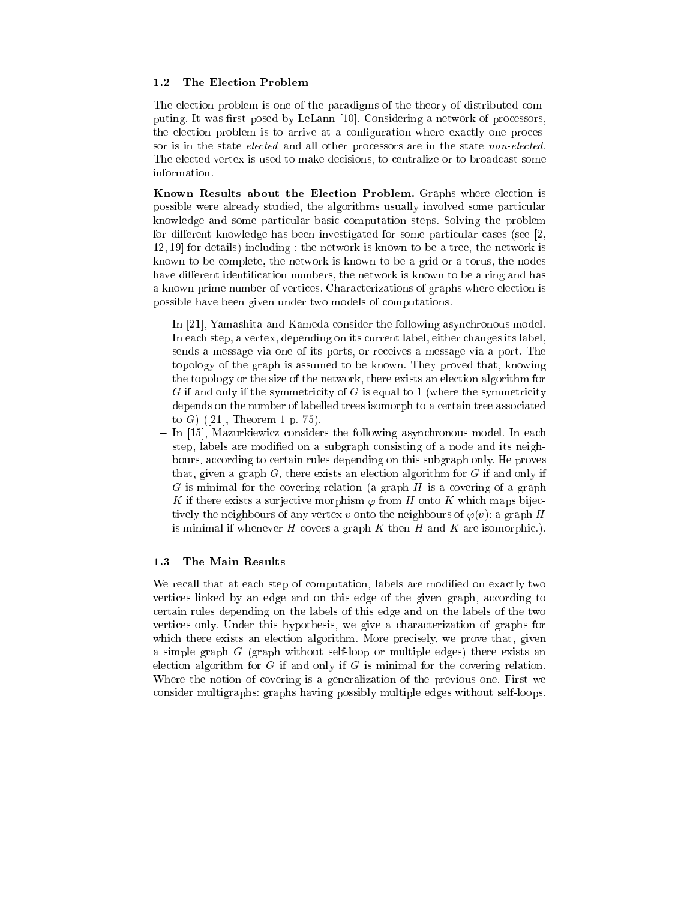#### $1.2$ The Election Problem

The election problem is one of the paradigms of the theory of distributed computing. It was first posed by LeLann [10]. Considering a network of processors, the election problem is to arrive at a configuration where exactly one processor is in the state *elected* and all other processors are in the state *non-elected*. The elected vertex is used to make decisions, to centralize or to broadcast some information.

Known Results about the Election Problem. Graphs where election is possible were already studied, the algorithms usually involved some particular knowledge and some particular basic computation steps. Solving the problem for different knowledge has been investigated for some particular cases (see  $[2, 3]$ )  $12,19$  for details) including : the network is known to be a tree, the network is known to be omplete, the network is known to be a grid or a torus, the nodes have different identification numbers, the network is known to be a ring and has a known prime number of verti
es. Chara
terizations of graphs where ele
tion is possible have been given under two models of omputations.

- In [21], Yamashita and Kameda consider the following asynchronous model. In each step, a vertex, depending on its current label, either changes its label, sends a message via one of its ports, or re
eives a message via a port. The topology of the graph is assumed to be known. They proved that, knowing the topology or the size of the network, there exists an ele
tion algorithm for  $G$  if and only if the symmetricity of  $G$  is equal to 1 (where the symmetricity depends on the number of labelled trees isomorph to a ertain tree asso
iated to G) ([21], Theorem 1 p. 75).
- In [15], Mazurkiewicz considers the following asynchronous model. In each step, labels are modified on a subgraph consisting of a node and its neighbours, according to certain rules depending on this subgraph only. He proves that, given a graph  $G$ , there exists an election algorithm for  $G$  if and only if  $G$  is minimal for the covering relation (a graph  $H$  is a covering of a graph K if there exists a surjective morphism  $\varphi$  from H onto K which maps bijectively the neighbours of any vertex v onto the neighbours of  $\varphi(v)$ ; a graph H is minimal if whenever H covers a graph  $K$  then H and K are isomorphic.).

# 1.3 The Main Results

We recall that at each step of computation, labels are modified on exactly two vertices linked by an edge and on this edge of the given graph, according to ertain rules depending on the labels of this edge and on the labels of the two vertices only. Under this hypothesis, we give a characterization of graphs for which there exists an election algorithm. More precisely, we prove that, given a simple graph  $G$  (graph without self-loop or multiple edges) there exists an election algorithm for  $G$  if and only if  $G$  is minimal for the covering relation. Where the notion of covering is a generalization of the previous one. First we onsider multigraphs: graphs having possibly multiple edges without self-loops.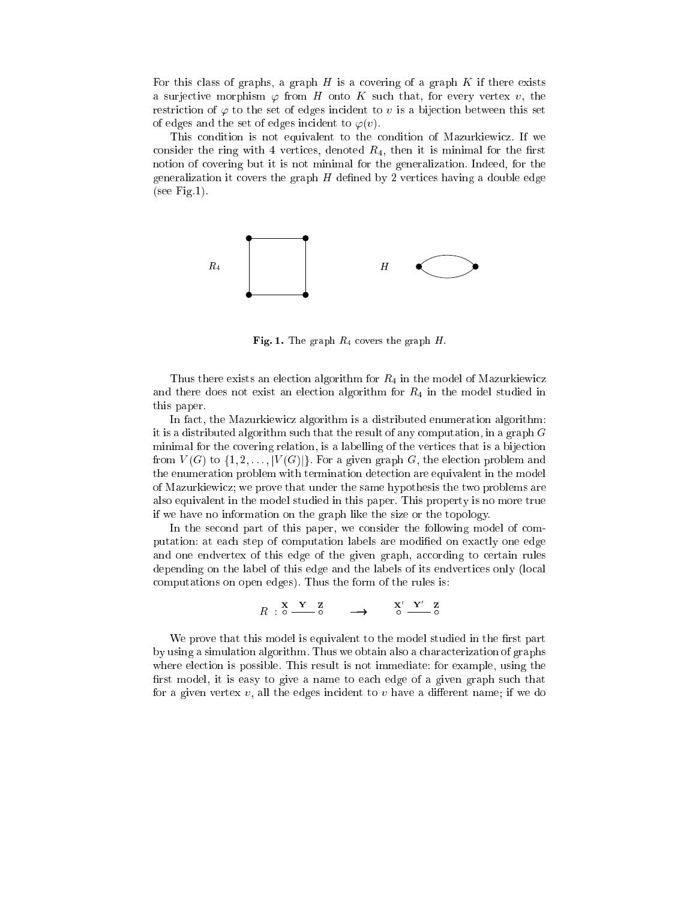For this class of graphs, a graph  $H$  is a covering of a graph  $K$  if there exists a surjective morphism  $\varphi$  from H onto K such that, for every vertex v, the restriction of  $\varphi$  to the set of edges incident to v is a bijection between this set of edges and the set of edges incident to  $\varphi(v)$ .

This condition is not equivalent to the condition of Mazurkiewicz. If we consider the ring with 4 vertices, denoted  $R_4$ , then it is minimal for the first notion of overing but it is not minimal for the generalization. Indeed, for the generalization it covers the graph  $H$  defined by 2 vertices having a double edge (see Fig.1).



**Fig. 1.** The graph  $R_4$  covers the graph H.

Thus there exists an election algorithm for  $R_4$  in the model of Mazurkiewicz and there does not exist an election algorithm for  $R_4$  in the model studied in this paper.

In fact, the Mazurkiewicz algorithm is a distributed enumeration algorithm: it is a distributed algorithm such that the result of any computation, in a graph  $G$ minimal for the overing relation, is a labelling of the verti
es that is a bije
tion from  $V(G)$  to  $\{1, 2, \ldots, |V(G)|\}$ . For a given graph G, the election problem and the enumeration problem with termination detection are equivalent in the model of Mazurkiewi
z; we prove that under the same hypothesis the two problems are also equivalent in the model studied in this paper. This property is no more true if we have no information on the graph like the size or the topology.

In the second part of this paper, we consider the following model of computation: at each step of computation labels are modified on exactly one edge and one endvertex of this edge of the given graph, according to certain rules depending on the label of this edge and the labels of its endvertices only (local omputations on open edges). Thus the form of the rules is:

$$
R : \begin{array}{cc} \mathbf{X} & \mathbf{Y} & \mathbf{Z} \\ \mathbf{0} & \mathbf{0} & \mathbf{0} \end{array} \longrightarrow \begin{array}{cc} \mathbf{X}' & \mathbf{Y}' & \mathbf{Z} \\ \mathbf{0} & \mathbf{0} & \mathbf{0} \end{array}
$$

We prove that this model is equivalent to the model studied in the first part by using a simulation algorithm. Thus we obtain also a hara
terization of graphs where election is possible. This result is not immediate: for example, using the first model, it is easy to give a name to each edge of a given graph such that for a given vertex  $v$ , all the edges incident to  $v$  have a different name; if we do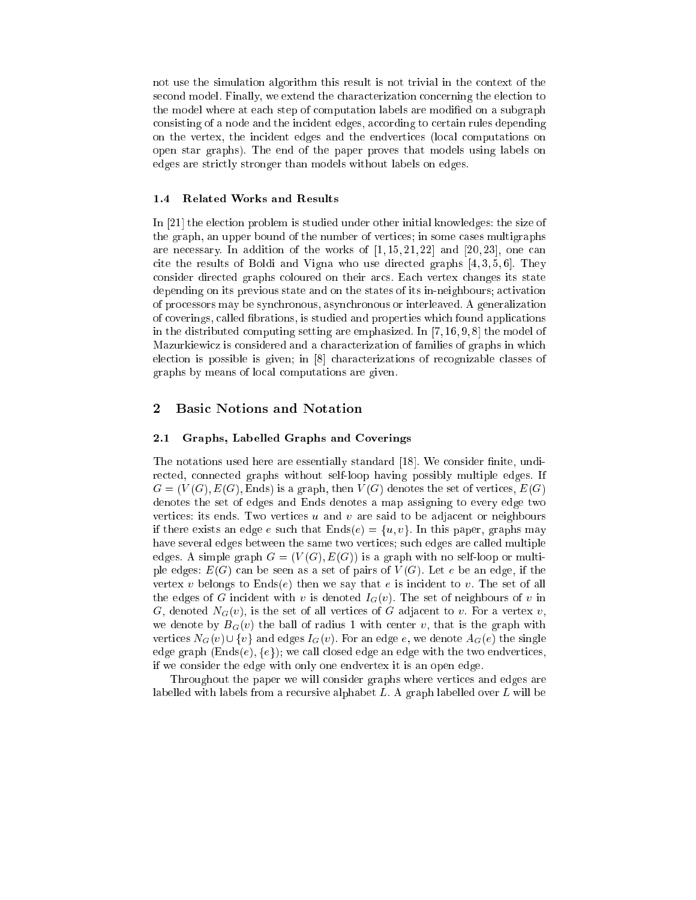not use the simulation algorithm this result is not trivial in the ontext of the second model. Finally, we extend the characterization concerning the election to the model where at each step of computation labels are modified on a subgraph consisting of a node and the incident edges, according to certain rules depending on the vertex, the in
ident edges and the endverti
es (lo
al omputations on open star graphs). The end of the paper proves that models using labels on edges are stri
tly stronger than models without labels on edges.

#### 1.4 Related Works and Results

In [21] the election problem is studied under other initial knowledges: the size of the graph, an upper bound of the number of verti
es; in some ases multigraphs are necessary. In addition of the works of  $[1, 15, 21, 22]$  and  $[20, 23]$ , one can cite the results of Boldi and Vigna who use directed graphs  $[4, 3, 5, 6]$ . They onsider dire
ted graphs oloured on their ar
s. Ea
h vertex hanges its state depending on its previous state and on the states of its in-neighbours; activation of pro
essors may be syn
hronous, asyn
hronous or interleaved. A generalization of overings, alled brations, is studied and properties whi
h found appli
ations in the distributed computing setting are emphasized. In  $[7, 16, 9, 8]$  the model of Mazurkiewicz is considered and a characterization of families of graphs in which election is possible is given; in  $[8]$  characterizations of recognizable classes of graphs by means of lo
al omputations are given.

# 2 Basi Notions and Notation

### 2.1 Graphs, Labelled Graphs and Coverings

The notations used here are essentially standard [18]. We consider finite, undirected, connected graphs without self-loop having possibly multiple edges. If  $G = (V(G), E(G),$  Ends) is a graph, then  $V(G)$  denotes the set of vertices,  $E(G)$ denotes the set of edges and Ends denotes a map assigning to every edge two vertices: its ends. Two vertices  $u$  and  $v$  are said to be adjacent or neighbours if there exists an edge e such that  $Ends(e) = \{u, v\}$ . In this paper, graphs may have several edges between the same two vertices; such edges are called multiple edges. A simple graph  $G = (V(G), E(G))$  is a graph with no self-loop or multiple edges:  $E(G)$  can be seen as a set of pairs of  $V(G)$ . Let e be an edge, if the vertex v belongs to Ends(e) then we say that e is incident to v. The set of all the edges of G incident with v is denoted  $I_G(v)$ . The set of neighbours of v in G, denoted  $N_G(v)$ , is the set of all vertices of G adjacent to v. For a vertex v, we denote by  $B_G(v)$  the ball of radius 1 with center v, that is the graph with vertices  $N_G(v) \cup \{v\}$  and edges  $I_G(v)$ . For an edge e, we denote  $A_G(e)$  the single edge graph  $(Ends(e), \{e\})$ ; we call closed edge an edge with the two endvertices, if we onsider the edge with only one endvertex it is an open edge.

Throughout the paper we will onsider graphs where verti
es and edges are labelled with labels from a recursive alphabet L. A graph labelled over L will be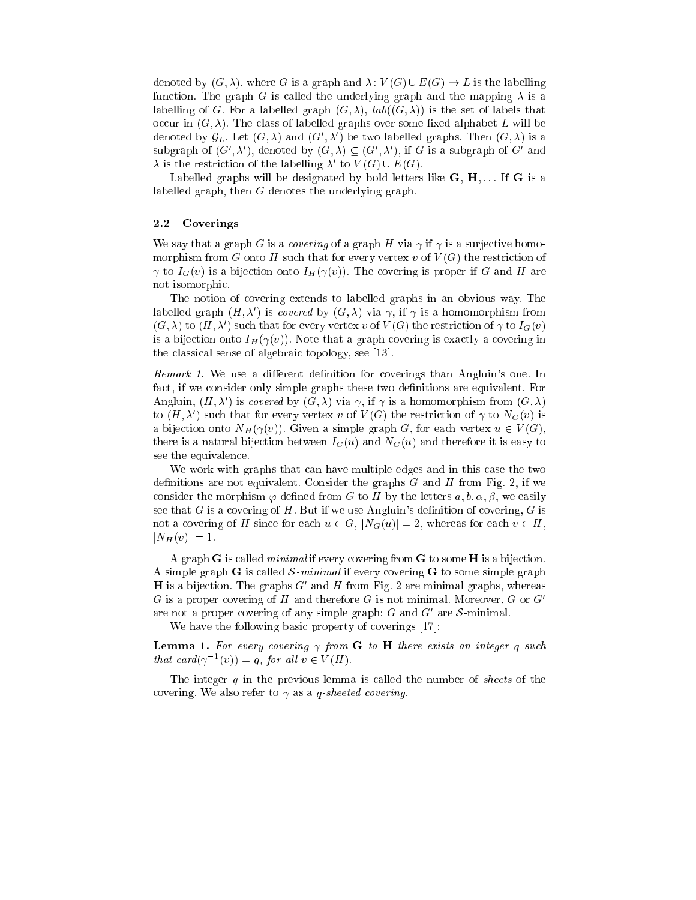denoted by  $(G, \lambda)$ , where G is a graph and  $\lambda: V(G) \cup E(G) \rightarrow L$  is the labelling function. The graph G is called the underlying graph and the mapping  $\lambda$  is a labelling of G. For a labelled graph  $(G, \lambda)$ ,  $lab((G, \lambda))$  is the set of labels that occur in  $(G, \lambda)$ . The class of labelled graphs over some fixed alphabet L will be denoted by  $\mathcal{G}_L$ . Let  $(G, \lambda)$  and  $(G', \lambda')$  be two labelled graphs. Then  $(G, \lambda)$  is a subgraph of  $(G', \lambda')$ , denoted by  $(G, \lambda) \subseteq (G', \lambda')$ , if G is a subgraph of G' and  $\lambda$  is the restriction of the labelling  $\lambda'$  to  $V(G) \cup E(G)$ .

Labelled graphs will be designated by bold letters like  $G, H, \ldots$  If  $G$  is a labelled graph, then G denotes the underlying graph.

### 2.2 Coverings

We say that a graph G is a covering of a graph H via  $\gamma$  if  $\gamma$  is a surjective homomorphism from G onto H such that for every vertex v of  $V(G)$  the restriction of  $\gamma$  to  $I_G(v)$  is a bijection onto  $I_H(\gamma(v))$ . The covering is proper if G and H are not isomorphi
.

The notion of overing extends to labelled graphs in an obvious way. The labelled graph  $(H, \lambda')$  is *covered* by  $(G, \lambda)$  via  $\gamma$ , if  $\gamma$  is a homomorphism from  $(G, \lambda)$  to  $(H, \lambda')$  such that for every vertex v of  $V(G)$  the restriction of  $\gamma$  to  $I_G(v)$ is a bijection onto  $I_H(\gamma(v))$ . Note that a graph covering is exactly a covering in the classical sense of algebraic topology, see  $[13]$ .

*Remark 1*. We use a different definition for coverings than Angluin's one. In fact, if we consider only simple graphs these two definitions are equivalent. For Angluin,  $(H, \lambda')$  is covered by  $(G, \lambda)$  via  $\gamma$ , if  $\gamma$  is a homomorphism from  $(G, \lambda)$ to  $(H, \lambda')$  such that for every vertex v of  $V(G)$  the restriction of  $\gamma$  to  $N_G(v)$  is a bijection onto  $N_H(\gamma(v))$ . Given a simple graph G, for each vertex  $u \in V(G)$ , there is a natural bijection between  $I_G(u)$  and  $N_G(u)$  and therefore it is easy to see the equivalence.

We work with graphs that can have multiple edges and in this case the two definitions are not equivalent. Consider the graphs  $G$  and  $H$  from Fig. 2, if we consider the morphism  $\varphi$  defined from G to H by the letters  $a, b, \alpha, \beta$ , we easily see that  $G$  is a covering of  $H$ . But if we use Angluin's definition of covering,  $G$  is not a covering of H since for each  $u \in G$ ,  $|N_G(u)| = 2$ , whereas for each  $v \in H$ ,  $|N_H(v)| = 1.$ 

A graph **G** is called *minimal* if every covering from **G** to some **H** is a bijection. A simple graph G is called S-minimal if every covering G to some simple graph **H** is a bijection. The graphs  $G'$  and H from Fig. 2 are minimal graphs, whereas G is a proper covering of H and therefore G is not minimal. Moreover, G or  $G'$ are not a proper covering of any simple graph: G and  $G'$  are S-minimal.

We have the following basic property of coverings [17]:

**Lemma 1.** For every covering  $\gamma$  from G to H there exists an integer q such that card $(\gamma^{-1}(v)) = q$ , for all  $v \in V(H)$ .

The integer  $q$  in the previous lemma is called the number of *sheets* of the covering. We also refer to  $\gamma$  as a *q*-sheeted covering.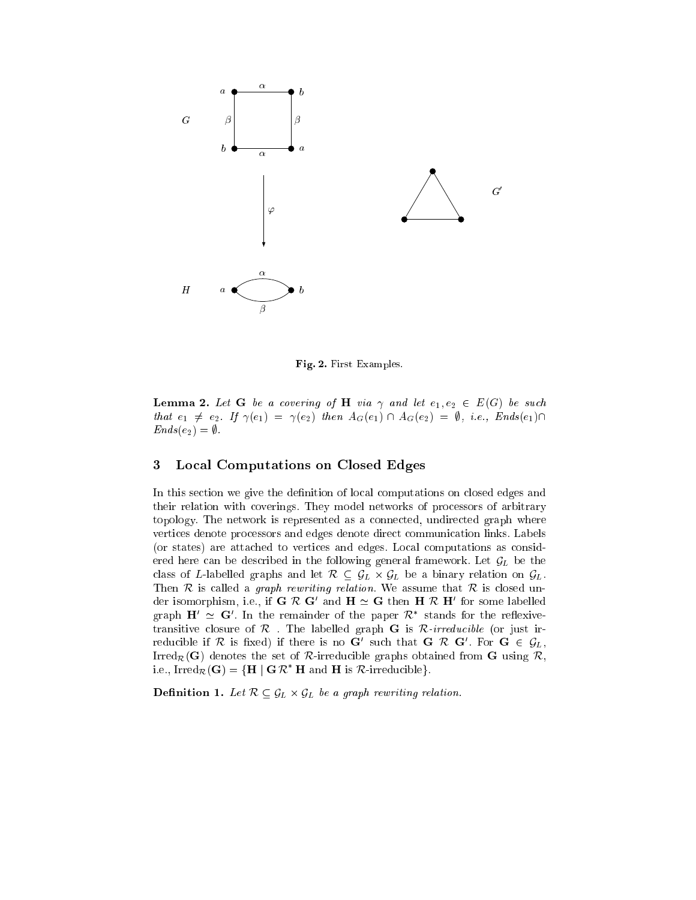

Fig. 2. First Examples.

**Lemma 2.** Let G be a covering of H via  $\gamma$  and let  $e_1, e_2 \in E(G)$  be such that  $e_1 \neq e_2$ . If  $\gamma(e_1) = \gamma(e_2)$  then  $A_G(e_1) \cap A_G(e_2) = \emptyset$ , i.e., Ends $(e_1) \cap$  $Ends(e_2) = \emptyset.$ 

# 3 Lo
al Computations on Closed Edges

In this section we give the definition of local computations on closed edges and their relation with overings. They model networks of pro
essors of arbitrary topology. The network is represented as a connected, undirected graph where verti
es denote pro
essors and edges denote dire
t ommuni
ation links. Labels (or states) are atta
hed to verti
es and edges. Lo
al omputations as onsidered here can be described in the following general framework. Let  $\mathcal{G}_L$  be the class of L-labelled graphs and let  $\mathcal{R} \subset \mathcal{G}_L \times \mathcal{G}_L$  be a binary relation on  $\mathcal{G}_L$ . Then  $R$  is called a *graph rewriting relation*. We assume that  $R$  is closed under isomorphism, i.e., if G  $\kappa$  G and  $\mathbf{H} \simeq \mathbf{G}$  then  $\mathbf{H} \kappa$  H for some labelled graph  $H' \simeq G'$ . In the remainder of the paper  $K^*$  stands for the reflexivetransitive closure of  $\mathcal R$ . The labelled graph G is  $\mathcal R$ -irreducible (or just irreducible if  $\kappa$  is fixed) if there is no G such that G  $\kappa$  G . For G  $\in$   $\mathcal{G}_L,$ Irred<sub>R</sub>(G) denotes the set of R-irreducible graphs obtained from G using R, i.e., Irred $_{\mathcal{R}}(G) = \{ H \mid G \mathcal{R}^* H \text{ and } H \text{ is } \mathcal{R}\text{-irreducible}\}.$ 

Denition 1. Let <sup>R</sup> GL - GL be <sup>a</sup> graph rewriting relation.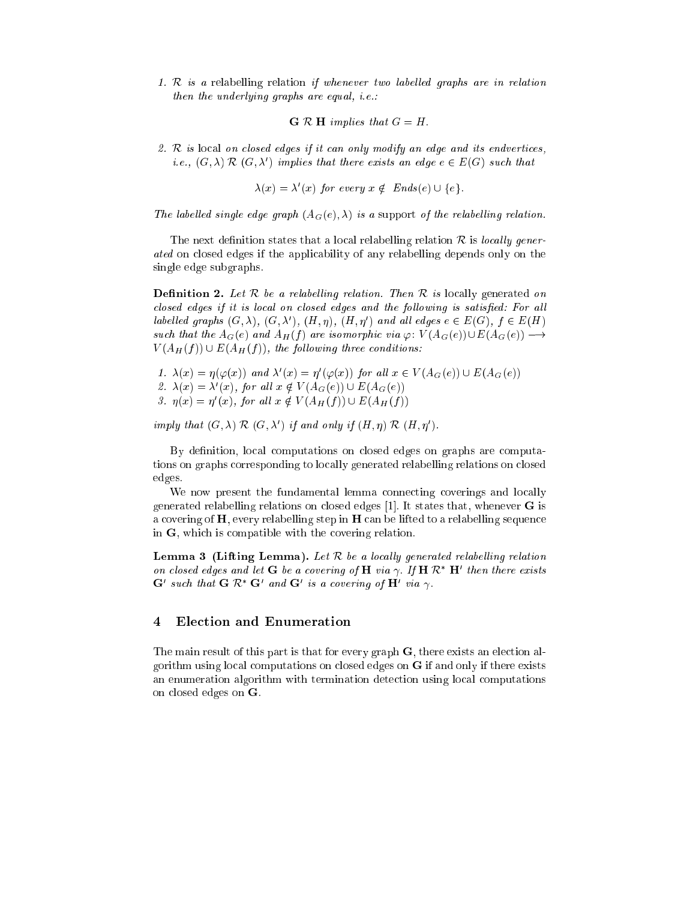1. <sup>R</sup> is <sup>a</sup> relabelling relation if whenever two label led graphs are in relation then the underlying graphs are equal, i.e.:

 $G \mathcal{R}$  H implies that  $G = H$ .

2. <sup>R</sup> is lo
al on losed edges if it an only modify an edge and its endverti
es, i.e.,  $(G, \lambda) \mathrel{{\mathcal R}}(G, \lambda')$  implies that there exists an edge  $e \in E(G)$  such that

$$
\lambda(x) = \lambda'(x) \text{ for every } x \notin \text{Ends}(e) \cup \{e\}.
$$

The labelled single edge graph  $(A_G(e), \lambda)$  is a support of the relabelling relation.

The next definition states that a local relabelling relation  $\mathcal R$  is locally generated on losed edges if the appli
ability of any relabelling depends only on the single edge subgraphs.

**Definition 2.** Let  $\mathcal{R}$  be a relabelling relation. Then  $\mathcal{R}$  is locally generated on losed edges if it is lo
al on losed edges and the fol lowing is satised: For al l labelled graphs  $(G, \lambda)$ ,  $(G, \lambda')$ ,  $(H, \eta)$ ,  $(H, \eta')$  and all edges  $e \in E(G)$ ,  $f \in E(H)$ such that the  $A_G(e)$  and  $A_H(f)$  are isomorphic via  $\varphi: V(A_G(e))\cup E(A_G(e)) \longrightarrow$  $V(A_H(f)) \cup E(A_H(f))$ , the following three conditions:

\n- 1. 
$$
\lambda(x) = \eta(\varphi(x))
$$
 and  $\lambda'(x) = \eta'(\varphi(x))$  for all  $x \in V(A_G(e)) \cup E(A_G(e))$
\n- 2.  $\lambda(x) = \lambda'(x)$ , for all  $x \notin V(A_G(e)) \cup E(A_G(e))$
\n- 3.  $\eta(x) = \eta'(x)$ , for all  $x \notin V(A_H(f)) \cup E(A_H(f))$
\n

imply that  $(G, \lambda) \mathcal{R} (G, \lambda')$  if and only if  $(H, \eta) \mathcal{R} (H, \eta')$ .

By definition, local computations on closed edges on graphs are computations on graphs orresponding to lo
ally generated relabelling relations on losed edges.

We now present the fundamental lemma connecting coverings and locally generated relabelling relations on closed edges  $[1]$ . It states that, whenever **G** is a covering of  $H$ , every relabelling step in  $H$  can be lifted to a relabelling sequence in G, which is compatible with the covering relation.

**Lemma 3 (Lifting Lemma).** Let  $R$  be a locally generated relabelling relation on closed edges and let  $G$  be a covering of  $H$  via  $\gamma$ . If  $H$   $\mathcal{R}^+$   $H^+$  then there exists G such that G  $\kappa$  G and G is a covering of H via  $\gamma$ .

# 4 Ele
tion and Enumeration

The main result of this part is that for every graph  $G$ , there exists an election algorithm using lo
al omputations on losed edges on G if and only if there exists an enumeration algorithm with termination detection using local computations on losed edges on G.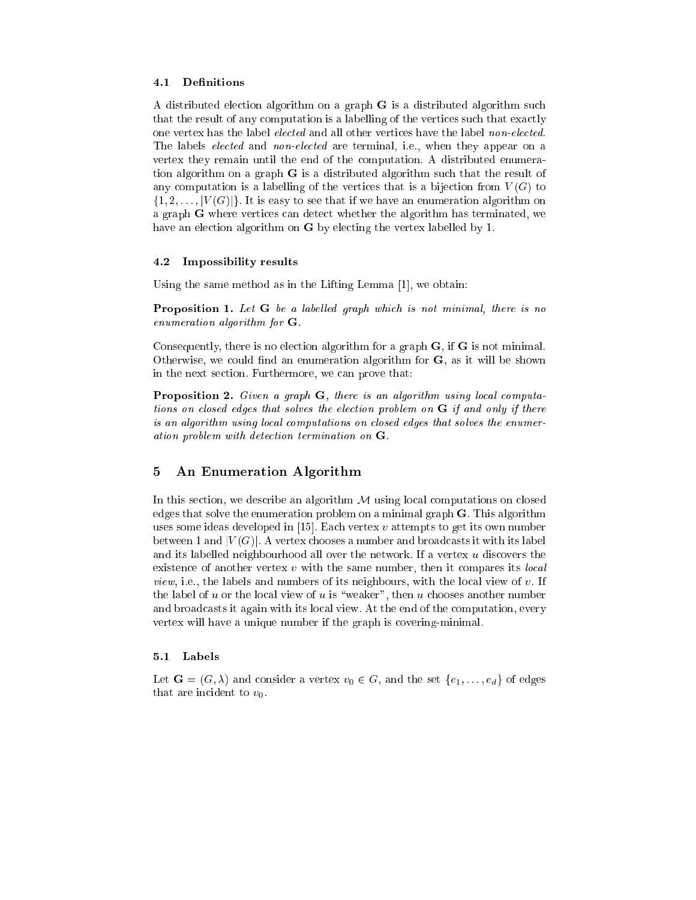### 4.1 Definitions

A distributed ele
tion algorithm on a graph G is a distributed algorithm su
h that the result of any computation is a labelling of the vertices such that exactly one vertex has the label *elected* and all other vertices have the label *non-elected*. The labels *elected* and *non-elected* are terminal, i.e., when they appear on a vertex they remain until the end of the omputation. A distributed enumeration algorithm on a graph G is a distributed algorithm su
h that the result of any computation is a labelling of the vertices that is a bijection from  $V(G)$  to  $\{1, 2, \ldots, |V(G)|\}$ . It is easy to see that if we have an enumeration algorithm on a graph G where verti
es an dete
t whether the algorithm has terminated, we have an election algorithm on **G** by electing the vertex labelled by 1.

#### 4.2 Impossibility results

Using the same method as in the Lifting Lemma  $[1]$ , we obtain:

**Proposition 1.** Let  $G$  be a labelled graph which is not minimal, there is no ensures are end and generation for the G.

Consequently, there is no election algorithm for a graph **, if**  $**G**$  **is not minimal.** Otherwise, we could find an enumeration algorithm for  $G$ , as it will be shown in the next se
tion. Furthermore, we an prove that:

**Proposition 2.** Given a graph  $G$ , there is an algorithm using local computations on losed edges that solves the ele
tion problem on G if and only if there is an algorithm using lo
al omputations on losed edges that solves the enumeration problem with detection termination on G.T

# 5 An Enumeration Algorithm

In this section, we describe an algorithm  $M$  using local computations on closed edges that solve the enumeration problem on a minimal graph G. This algorithm uses some ideas developed in  $[15]$ . Each vertex v attempts to get its own number between 1 and  $|V(G)|$ . A vertex chooses a number and broadcasts it with its label and its labelled neighbourhood all over the network. If a vertex u dis
overs the existence of another vertex  $v$  with the same number, then it compares its *local view*, i.e., the labels and numbers of its neighbours, with the local view of  $v$ . If the label of  $u$  or the local view of  $u$  is "weaker", then  $u$  chooses another number and broad
asts it again with its lo
al view. At the end of the omputation, every vertex will have a unique number if the graph is overing-minimal.

#### 5.1 Labels

Let  $\mathbf{G} = (G, \lambda)$  and consider a vertex  $v_0 \in G$ , and the set  $\{e_1, \ldots, e_d\}$  of edges that are incident to  $v_0$ .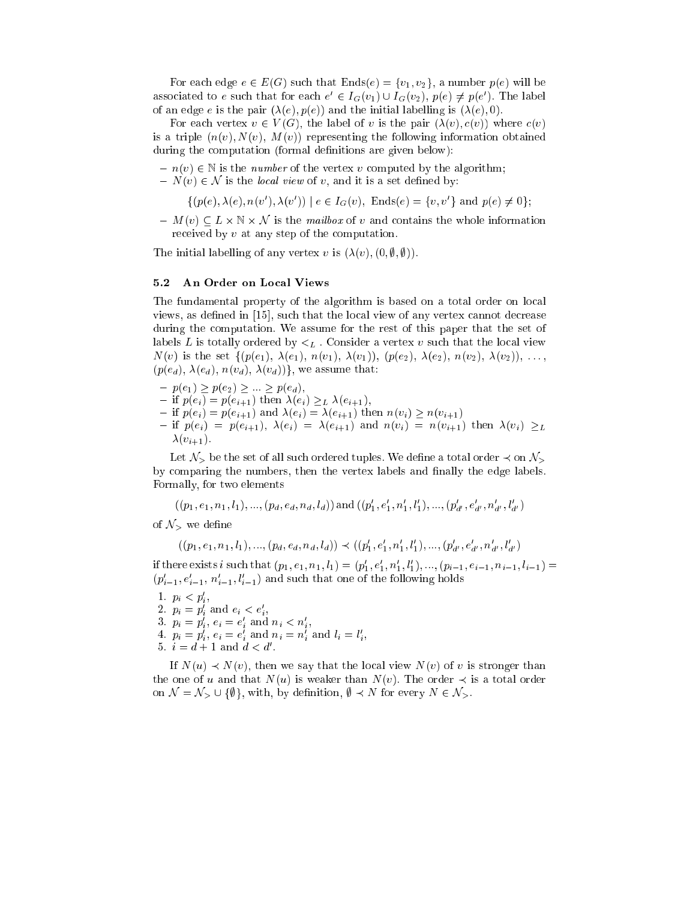For each edge  $e \in E(G)$  such that  $Ends(e) = \{v_1, v_2\}$ , a number  $p(e)$  will be associated to e such that for each  $e' \in I_G(v_1) \cup I_G(v_2)$ ,  $p(e) \neq p(e')$ . The label of an edge e is the pair  $(\lambda(e), p(e))$  and the initial labelling is  $(\lambda(e), 0)$ .

For each vertex  $v \in V(G)$ , the label of v is the pair  $(\lambda(v), c(v))$  where  $c(v)$ is a triple  $(n(v), N(v), M(v))$  representing the following information obtained during the computation (formal definitions are given below):

- $n(v) \in \mathbb{N}$  is the *number* of the vertex v computed by the algorithm;
- $N(v) \in \mathcal{N}$  is the *local view* of v, and it is a set defined by:

 $\{(p(e), \lambda(e), n(v'), \lambda(v')) \mid e \in I_G(v), \text{ Ends}(e) = \{v, v'\} \text{ and } p(e) \neq 0\};$ 

 ${-} M(v) \subseteq L \times \mathbb{N} \times \mathcal{N}$  is the mailbox of v and contains the whole information received by v at any step of the computation.

The initial labelling of any vertex v is  $(\lambda(v), (0, \emptyset, \emptyset))$ .

#### 5.2 An Order on Lo
al Views

The fundamental property of the algorithm is based on a total order on local views, as defined in  $[15]$ , such that the local view of any vertex cannot decrease during the omputation. We assume for the rest of this paper that the set of labels L is totally ordered by  $\lt_L$ . Consider a vertex v such that the local view  $N(v)$  is the set  $\{(p(e_1), \lambda(e_1), n(v_1), \lambda(v_1)), (p(e_2), \lambda(e_2), n(v_2), \lambda(v_2)), \ldots,$  $(p(e_d), \lambda(e_d), n(v_d), \lambda(v_d))$ , we assume that:

- ${p(e_1) \geq p(e_2) \geq ... \geq p(e_d)},$
- ${} \text{ if } p(e_i) = p(e_{i+1}) \text{ then } \lambda(e_i) \geq L \lambda(e_{i+1}),$
- ${} -$  if  $p(e_i) = p(e_{i+1})$  and  $\lambda(e_i) = \lambda(e_{i+1})$  then  $n(v_i) \ge n(v_{i+1})$
- ${\rm tr} \left[ p(e_i) = p(e_{i+1}), \ \lambda(e_i) = \lambda(e_{i+1}) \ \text{and} \ n(v_i) = n(v_{i+1}) \ \text{then} \ \lambda(v_i) \geq L$  $\lambda(v_{i+1})$ .

Let  $\mathcal{N}_>$  be the set of all such ordered tuples. We define a total order  $\prec$  on  $\mathcal{N}_>$ by comparing the numbers, then the vertex labels and finally the edge labels. Formally, for two elements

$$
((p_1, e_1, n_1, l_1), ..., (p_d, e_d, n_d, l_d))
$$
 and  $((p'_1, e'_1, n'_1, l'_1), ..., (p'_{d'}, e'_{d'}, n'_{d'}, l'_{d'})$ 

of  $\mathcal{N}_{>}$  we define

$$
((p_1, e_1, n_1, l_1), ..., (p_d, e_d, n_d, l_d)) \prec ((p'_1, e'_1, n'_1, l'_1), ..., (p'_{d'}, e'_{d'}, n'_{d'}, l'_{d'})
$$

if there exists i such that  $(p_1, e_1, n_1, l_1) = (p'_1, e'_1, n'_1, l'_1), \ldots, (p_{i-1}, e_{i-1}, n_{i-1}, l_{i-1}) =$  $(p'_{i-1}, e'_{i-1}, n'_{i-1}, l'_{i-1})$  and such that one of the following holds

- 1.  $p_i < p'_i$ ,
- 2.  $p_i = p'_i$  and  $e_i < e'_i$ ,
- 
- 3.  $p_i = p_i^i$ ,  $e_i = e_i^i$  and  $n_i < n_i^i$ ,<br>
4.  $p_i = p_i^i$ ,  $e_i = e_i^i$  and  $n_i = n_i^i$  and  $l_i = l_i^i$ ,
- 5.  $i = d + 1$  and  $d < d'$ .

If  $N(u) \prec N(v)$ , then we say that the local view  $N(v)$  of v is stronger than the one of u and that  $N(u)$  is weaker than  $N(v)$ . The order  $\prec$  is a total order on  $\mathcal{N} = \mathcal{N}_> \cup \{\emptyset\}$ , with, by definition,  $\emptyset \prec N$  for every  $N \in \mathcal{N}_>$ .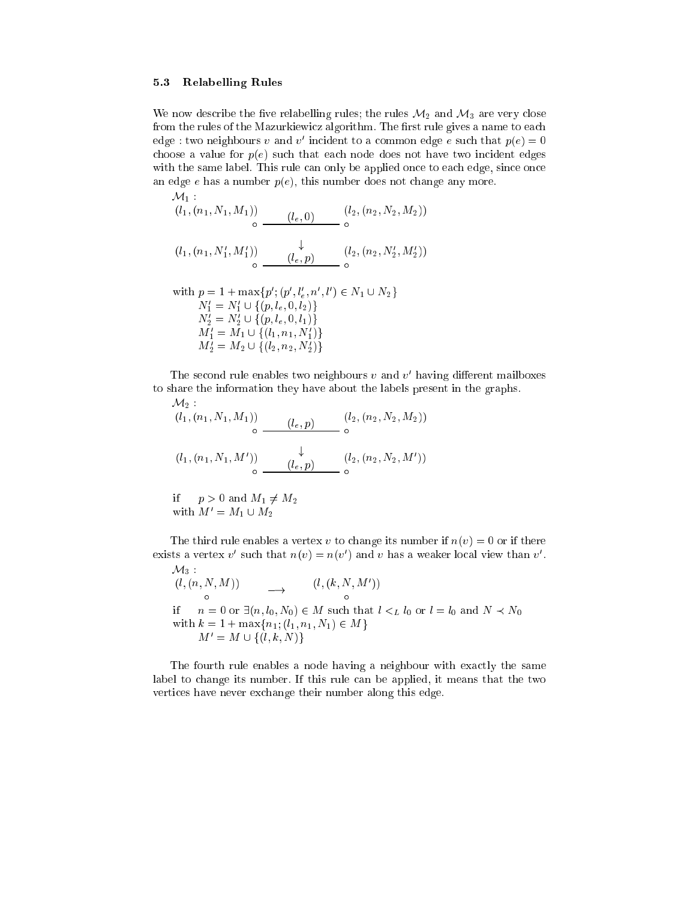#### 5.3 Relabelling Rules

We now describe the five relabelling rules; the rules  $\mathcal{M}_2$  and  $\mathcal{M}_3$  are very close from the rules of the Mazurkiewicz algorithm. The first rule gives a name to each edge : two neignbours  $v$  and  $v$  -incldent to a common edge  $e$  such that  $p(e) = 0$ choose a value for  $p(e)$  such that each node does not have two incident edges with the same label. This rule can only be applied once to each edge, since once an edge  $e$  has a number  $p(e)$ , this number does not change any more.

$$
\begin{array}{ccc}\nM_1: & & (l_1, (n_1, N_1, M_1)) & (l_e, 0) & (l_2, (n_2, N_2, M_2)) \\
 & \circ & \downarrow & \\
(l_1, (n_1, N'_1, M'_1)) & \downarrow & (l_2, (n_2, N'_2, M'_2)) \\
 & \circ & \downarrow & \\
 & (l_2, (n_2, N'_2, M'_2)) & \end{array}
$$

with 
$$
p = 1 + \max\{p'; (p', l'_e, n', l') \in N_1 \cup N_2\}
$$
  
\n $N'_1 = N'_1 \cup \{(p, l_e, 0, l_2)\}$   
\n $N'_2 = N'_2 \cup \{(p, l_e, 0, l_1)\}$   
\n $M'_1 = M_1 \cup \{(l_1, n_1, N'_1)\}$   
\n $M'_2 = M_2 \cup \{(l_2, n_2, N'_2)\}$ 

The second rule enables two neighbours  $v$  and  $v^{\prime}$  having different mailboxes to share the information they have about the labels present in the graphs.

$$
\mathcal{M}_2: \n(l_1, (n_1, N_1, M_1)) \n\begin{array}{c}\n(l_e, p) & (l_2, (n_2, N_2, M_2)) \\
0 & \downarrow \n\end{array}
$$
\n
$$
(l_1, (n_1, N_1, M')) \n\begin{array}{c}\n\downarrow \\
(l_e, p) & (l_2, (n_2, N_2, M'))\n\end{array}
$$

if 
$$
p > 0
$$
 and  $M_1 \neq M_2$   
with  $M' = M_1 \cup M_2$ 

The third rule enables a vertex v to change its number if  $n(v) = 0$  or if there exists a vertex  $v$  such that  $n(v) = n(v')$  and  $v$  has a weaker local view than  $v'$ .

 $\mathcal{M}_3$  $(l, (n, N, M))$  $(N, M))$   $\longrightarrow$   $(l, (k, N, M'))$ if  $n = 0$  or  $\exists (n, l_0, N_0) \in M$  such that  $l \leq L l_0$  or  $l = l_0$  and  $N \leq N_0$ with  $k = 1 + \max\{n_1; (l_1, n_1, N_1) \in M\}$  $M' = M \cup \{ (l, k, N) \}$ 

The fourth rule enables a node having a neighbour with exa
tly the same label to change its number. If this rule can be applied, it means that the two verti
es have never ex
hange their number along this edge.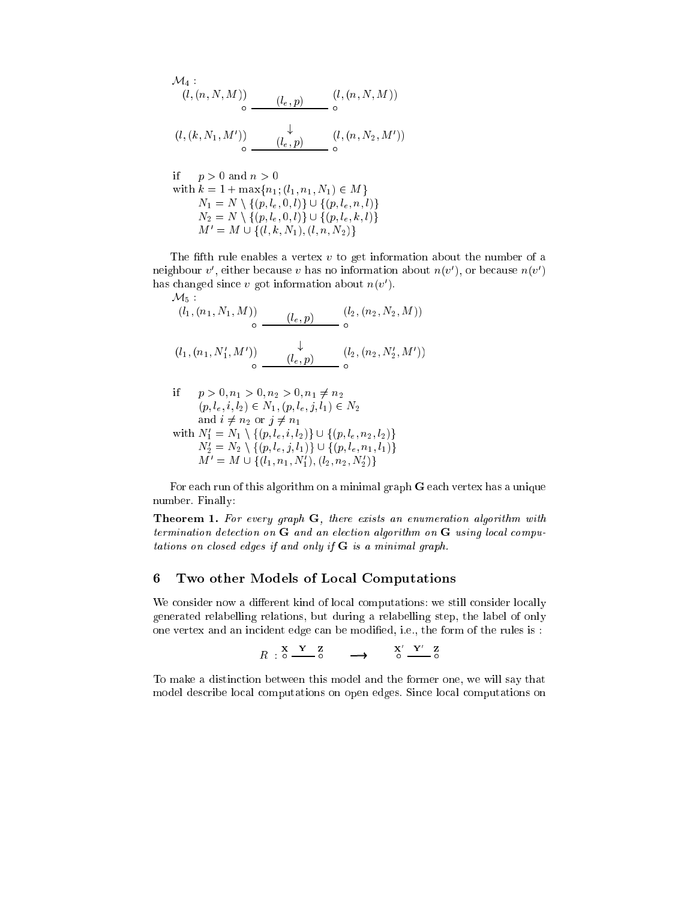$$
\mathcal{M}_4: (l, (n, N, M)) \circ (l_e, p) \qquad (l, (n, N, M))
$$
  

$$
(l, (k, N_1, M')) \qquad \downarrow \qquad (l, (n, N_2, M'))
$$
  

$$
\circ \qquad \qquad (l_e, p) \qquad (l, (n, N_2, M'))
$$

it 
$$
p > 0
$$
 and  $n > 0$   
with  $k = 1 + \max\{n_1; (l_1, n_1, N_1) \in M\}$   
 $N_1 = N \setminus \{(p, l_e, 0, l)\} \cup \{(p, l_e, n, l)\}$   
 $N_2 = N \setminus \{(p, l_e, 0, l)\} \cup \{(p, l_e, k, l)\}$   
 $M' = M \cup \{(l, k, N_1), (l, n, N_2)\}$ 

The fifth rule enables a vertex  $v$  to get information about the number of a neignbour  $v$ , either because  $v$  has no information about  $n(v)$ , or because  $n(v)$ nas changed since  $v$  got information about  $n(v)$ .  $M_{\pi}$ .

$$
(l_1, (n_1, N_1, M)) \n\begin{array}{c}\n(l_e, p) & (l_2, (n_2, N_2, M)) \\
\circ & \downarrow \\
(l_1, (n_1, N'_1, M')) & \downarrow \\
\circ & (l_e, p) & \circ \\
\end{array}
$$

if 
$$
p > 0, n_1 > 0, n_2 > 0, n_1 \neq n_2
$$
  
\n $(p, l_e, i, l_2) \in N_1, (p, l_e, j, l_1) \in N_2$   
\nand  $i \neq n_2$  or  $j \neq n_1$   
\nwith  $N'_1 = N_1 \setminus \{(p, l_e, i, l_2)\} \cup \{(p, l_e, n_2, l_2)\}$   
\n $N'_2 = N_2 \setminus \{(p, l_e, j, l_1)\} \cup \{(p, l_e, n_1, l_1)\}$   
\n $M' = M \cup \{(l_1, n_1, N'_1), (l_2, n_2, N'_2)\}$ 

For each run of this algorithm on a minimal graph G each vertex has a unique number. Finally:

Theorem 1. For every graph G, there exists an enumeration algorithm with termination algorithm on algorithm on G and algorithm on G and algorithm on G using local algorithm tations on losed edges if and only if G is <sup>a</sup> minimal graph.

## 6 Two other Models of Lo
al Computations

We consider now a different kind of local computations: we still consider locally generated relabelling relations, but during a relabelling step, the label of only one vertex and an incident edge can be modified, i.e., the form of the rules is :

$$
R : \begin{array}{cc} X & Y & Z \\ 0 & \xrightarrow{\phantom{aa}} 0 \end{array} \longrightarrow \begin{array}{cc} X' & Y' & Z \\ 0 & \xrightarrow{\phantom{aa}} 0 \end{array}
$$

To make a distin
tion between this model and the former one, we will say that model describe local computations on open edges. Since local computations on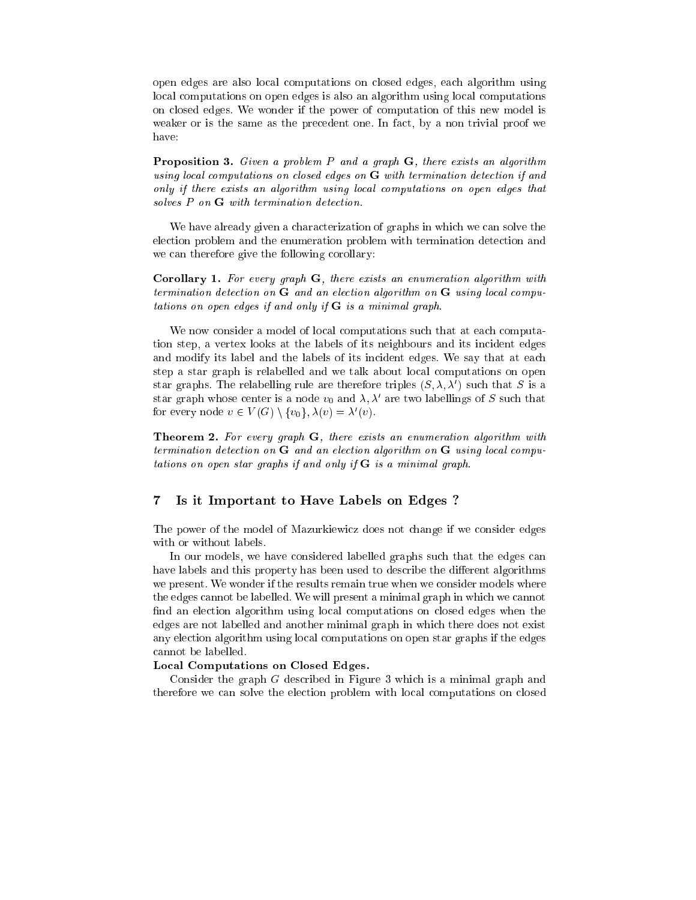open edges are also lo
al omputations on losed edges, ea
h algorithm using lo
al omputations on open edges is also an algorithm using lo
al omputations on losed edges. We wonder if the power of omputation of this new model is weaker or is the same as the precedent one. In fact, by a non trivial proof we have:

Proposition 3. Given a problem P and a graph G, there exists an algorithm using lo
al omputations on losed edges on G with termination dete
tion if and only if there exists an algorithm using lo
al omputations on open edges that solves P on **G** with termination detection.

We have already given a characterization of graphs in which we can solve the ele
tion problem and the enumeration problem with termination dete
tion and we can therefore give the following corollary:

Corollary 1. For every graph G, there exists an enumeration algorithm with termination algorithm on algorithm on G and algorithm on G and algorithm on G using local algorithm tations on open edges if and only if G is <sup>a</sup> minimal graph.

We now consider a model of local computations such that at each computation step, a vertex looks at the labels of its neighbours and its in
ident edges and modify its label and the labels of its incident edges. We say that at each step a star graph is relabelled and we talk about lo
al omputations on open star graphs. The relabelling rule are therefore triples  $(S, \lambda, \lambda')$  such that S is a star graph whose center is a node  $v_0$  and  $\lambda$ ,  $\lambda'$  are two labellings of S such that for every node  $v \in V(G) \setminus \{v_0\}, \lambda(v) = \lambda'(v)$ .

Theorem 2. For every graph G, there exists an enumeration algorithm with termination on G and all the G and all the Contracts and all the contracts of the contracts of the contracts o tations on open star graphs if and only if G is <sup>a</sup> minimal graph.

#### $\overline{7}$ 7 Is it Important to Have Labels on Edges ?

The power of the model of Mazurkiewicz does not change if we consider edges with or without labels.

In our models, we have considered labelled graphs such that the edges can have labels and this property has been used to describe the different algorithms we present. We wonder if the results remain true when we onsider models where the edges annot be labelled. We will present a minimal graph in whi
h we annot find an election algorithm using local computations on closed edges when the edges are not labelled and another minimal graph in whi
h there does not exist any ele
tion algorithm using lo
al omputations on open star graphs if the edges annot be labelled.

#### Lo
al Computations on Closed Edges.

Consider the graph G described in Figure 3 which is a minimal graph and therefore we can solve the election problem with local computations on closed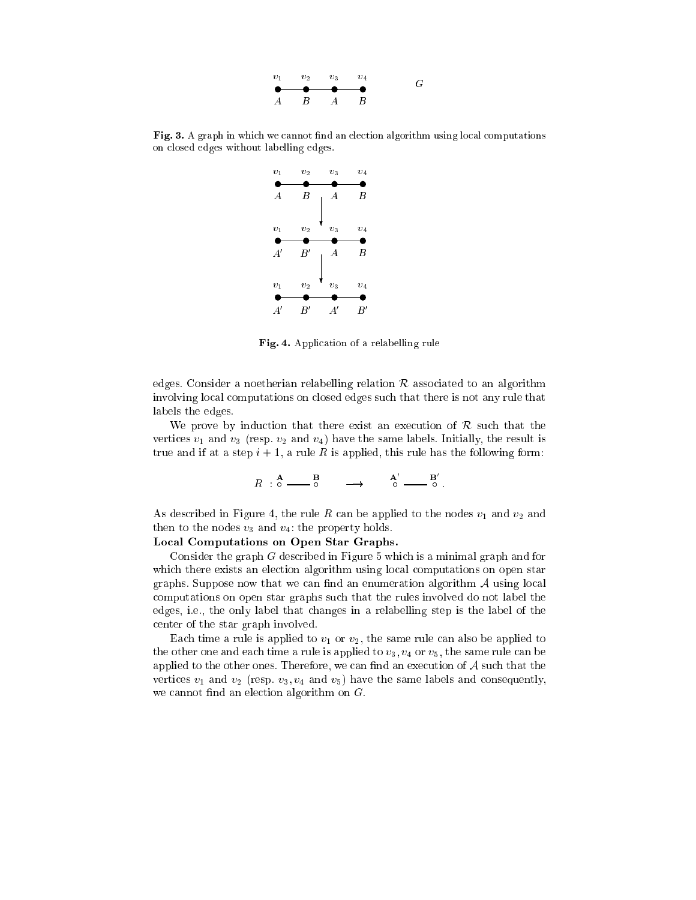| $v_1$ |                                                                                               | $v_2$ $v_3$ | $v_{\rm A}$ | G |
|-------|-----------------------------------------------------------------------------------------------|-------------|-------------|---|
|       | $\bullet\hspace{0.1cm}\bullet\hspace{0.1cm}\bullet\hspace{0.1cm}\bullet\hspace{0.1cm}\bullet$ |             |             |   |
|       | $A$ $B$ $A$ $B$                                                                               |             |             |   |

Fig. 3. A graph in whi
h we annot nd an ele
tion algorithm using lo
al omputations on losed edges without labelling edges.



Fig. 4. Appli
ation of a relabelling rule

edges. Consider a noetherian relabelling relation  $\mathcal R$  associated to an algorithm involving local computations on closed edges such that there is not any rule that labels the edges.

We prove by induction that there exist an execution of  $R$  such that the vertices  $v_1$  and  $v_3$  (resp.  $v_2$  and  $v_4$ ) have the same labels. Initially, the result is true and if at a step  $i + 1$ , a rule R is applied, this rule has the following form:

$$
R \stackrel{\mathbf{A}}{\circ} \stackrel{\mathbf{B}}{\circ} \stackrel{\mathbf{B}}{\circ} \longrightarrow \stackrel{\mathbf{A}'}{\circ} \stackrel{\mathbf{B}'}{\circ} \longrightarrow
$$

As described in Figure 4, the rule R can be applied to the nodes  $v_1$  and  $v_2$  and then to the nodes  $v_3$  and  $v_4$ : the property holds.

### Lo
al Computations on Open Star Graphs.

Consider the graph  $G$  described in Figure 5 which is a minimal graph and for which there exists an election algorithm using local computations on open star graphs. Suppose now that we can find an enumeration algorithm  $A$  using local omputations on open star graphs su
h that the rules involved do not label the edges, i.e., the only label that hanges in a relabelling step is the label of the enter of the star graph involved.

Each time a rule is applied to  $v_1$  or  $v_2$ , the same rule can also be applied to the other one and each time a rule is applied to  $v_3$ ,  $v_4$  or  $v_5$ , the same rule can be applied to the other ones. Therefore, we can find an execution of  $A$  such that the vertices  $v_1$  and  $v_2$  (resp.  $v_3, v_4$  and  $v_5$ ) have the same labels and consequently, we cannot find an election algorithm on  $G$ .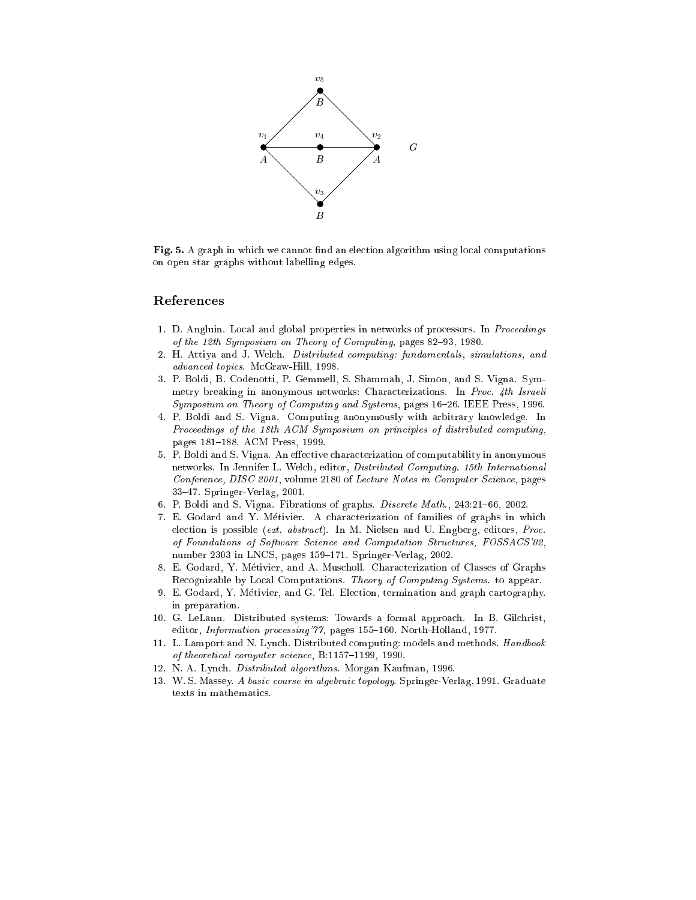

- A computation and annot algorithm using local computations are computed and algorithm using an electronic on open star graphs without labelling edges.

# Referen
es

- 1. D. Angluin. Local and global properties in networks of processors. In Proceedings of the 12th Symposium on Theory of Computing, pages  $82-93$ , 1980.
- 2. H. Attiya and J. Wel
h. Distributed omputing: fundamentals, simulations, and advan
ed topi
s. M
Graw-Hill, 1998.
- 3. P. Boldi, B. Codenotti, P. Gemmell, S. Shammah, J. Simon, and S. Vigna. Symmetry breaking in anonymous networks: Characterizations. In Proc. 4th Israeli Symposium on Theory of Computing and Systems, pages 16-26. IEEE Press, 1996.
- 4. P. Boldi and S. Vigna. Computing anonymously with arbitrary knowledge. In Proceedings of the 18th ACM Symposium on principles of distributed computing. pages 181-188. ACM Press, 1999.
- 5. P. Boldi and S. Vigna. An effective characterization of computability in anonymous networks. In Jennifer L. Wel
h, editor, Distributed Computing. 15th International Conference, DISC 2001, volume 2180 of Lecture Notes in Computer Science, pages 33{47. Springer-Verlag, 2001.
- 6. P. Boldi and S. Vigna. Fibrations of graphs. Discrete Math., 243:21-66, 2002.
- 7. E. Godard and Y. Metivier. A hara
terization of families of graphs in whi
h election is possible (ext. abstract). In M. Nielsen and U. Engberg, editors, Proc. of Foundations of Software Science and Computation Structures, FOSSACS'02. number 2303 in LNCS, pages 159-171. Springer-Verlag, 2002.
- 8. E. Godard, Y. Metivier, and A. Mus
holl. Chara
terization of Classes of Graphs Recognizable by Local Computations. Theory of Computing Systems. to appear.
- 9. E. Godard, Y. Métivier, and G. Tel. Election, termination and graph cartography. in preparation.
- 10. G. LeLann. Distributed systems: Towards a formal approa
h. In B. Gil
hrist, editor, Information processing'77, pages 155-160. North-Holland, 1977.
- 11. L. Lamport and N. Lynch. Distributed computing: models and methods. Handbook of theoretical computer science, B:1157-1199, 1990.
- 12. N. A. Lyn
h. Distributed algorithms. Morgan Kaufman, 1996.
- 13. W. S. Massey. A basic course in algebraic topology. Springer-Verlag, 1991. Graduate texts in mathemati
s.